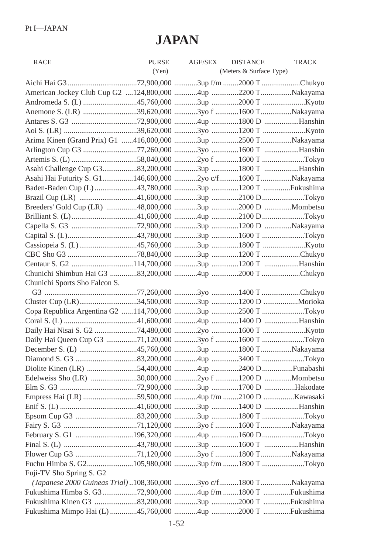## **JAPAN**

| <b>RACE</b>                                                     | PURSE | AGE/SEX | <b>DISTANCE</b>         | <b>TRACK</b> |
|-----------------------------------------------------------------|-------|---------|-------------------------|--------------|
|                                                                 | (Yen) |         | (Meters & Surface Type) |              |
|                                                                 |       |         |                         |              |
| American Jockey Club Cup G2 124,800,000 4up 2200 TNakayama      |       |         |                         |              |
|                                                                 |       |         |                         |              |
| Anemone S. (LR) 39,620,000 3yo f 1600 TNakayama                 |       |         |                         |              |
|                                                                 |       |         |                         |              |
|                                                                 |       |         |                         |              |
| Arima Kinen (Grand Prix) G1 416,000,000 3up 2500 TNakayama      |       |         |                         |              |
| Arlington Cup G3 77,260,000 3yo 1600 T Hanshin                  |       |         |                         |              |
|                                                                 |       |         |                         |              |
| Asahi Challenge Cup G333,200,000 3up 1800 T Hanshin             |       |         |                         |              |
| Asahi Hai Futurity S. G1146,600,000 2yo c/f1600 TNakayama       |       |         |                         |              |
| Baden-Baden Cup (L) 43,780,000 3up 1200 T Fukushima             |       |         |                         |              |
| Brazil Cup (LR) 41,600,000 3up 2100 DTokyo                      |       |         |                         |              |
| Breeders' Gold Cup (LR) 48,000,000 3up 2000 D Mombetsu          |       |         |                         |              |
|                                                                 |       |         |                         |              |
|                                                                 |       |         |                         |              |
|                                                                 |       |         |                         |              |
|                                                                 |       |         |                         |              |
|                                                                 |       |         |                         |              |
|                                                                 |       |         |                         |              |
|                                                                 |       |         |                         |              |
| Chunichi Sports Sho Falcon S.                                   |       |         |                         |              |
|                                                                 |       |         |                         |              |
| Cluster Cup (LR)34,500,000 3up 1200 D Morioka                   |       |         |                         |              |
| Copa Republica Argentina G2 114,700,000 3up 2500 T Tokyo        |       |         |                         |              |
|                                                                 |       |         |                         |              |
|                                                                 |       |         |                         |              |
| Daily Hai Queen Cup G3 71,120,000 3yo f 1600 T Tokyo            |       |         |                         |              |
| December S. (L) 45,760,000 3up 1800 TNakayama                   |       |         |                         |              |
|                                                                 |       |         |                         |              |
| Diolite Kinen (LR) 54,400,000 4up 2400 DFunabashi               |       |         |                         |              |
|                                                                 |       |         |                         |              |
|                                                                 |       |         |                         |              |
|                                                                 |       |         |                         |              |
|                                                                 |       |         |                         |              |
|                                                                 |       |         |                         |              |
|                                                                 |       |         |                         |              |
|                                                                 |       |         |                         |              |
|                                                                 |       |         |                         |              |
|                                                                 |       |         |                         |              |
| Fuchu Himba S. G2105,980,000 3up f/m 1800 T Tokyo               |       |         |                         |              |
| Fuji-TV Sho Spring S. G2                                        |       |         |                         |              |
| (Japanese 2000 Guineas Trial) 108,360,000 3yo c/f1800 TNakayama |       |         |                         |              |
| Fukushima Himba S. G372,900,000 4up f/m 1800 T Fukushima        |       |         |                         |              |
| Fukushima Kinen G3 33,200,000 3up 2000 T Fukushima              |       |         |                         |              |
| Fukushima Mimpo Hai (L) 45,760,000 4up 2000 T Fukushima         |       |         |                         |              |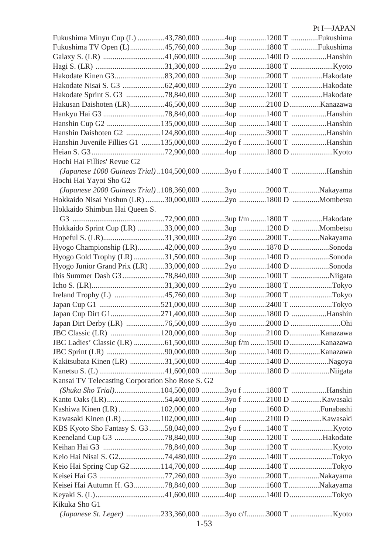## Pt I—JAPAN

| Fukushima Minyu Cup (L) 43,780,000 4up 1200 T Fukushima        |  |  |
|----------------------------------------------------------------|--|--|
| Fukushima TV Open (L)45,760,000 3up 1800 T Fukushima           |  |  |
| Galaxy S. (LR) 41,600,000 3up 1400 D Hanshin                   |  |  |
|                                                                |  |  |
|                                                                |  |  |
| Hakodate Nisai S. G3 62,400,000 2yo 1200 T Hakodate            |  |  |
|                                                                |  |  |
| Hakusan Daishoten (LR)46,500,000 3up 2100 DKanazawa            |  |  |
|                                                                |  |  |
| Hanshin Cup G2 135,000,000 3up 1400 T Hanshin                  |  |  |
|                                                                |  |  |
| Hanshin Juvenile Fillies G1 135,000,000 2yo f 1600 T Hanshin   |  |  |
|                                                                |  |  |
| Hochi Hai Fillies' Revue G2                                    |  |  |
| (Japanese 1000 Guineas Trial) 104,500,000 3yo f 1400 T Hanshin |  |  |
| Hochi Hai Yayoi Sho G2                                         |  |  |
| (Japanese 2000 Guineas Trial)108,360,000 3yo 2000 TNakayama    |  |  |
| Hokkaido Nisai Yushun (LR) 30,000,000 2yo 1800 D  Mombetsu     |  |  |
| Hokkaido Shimbun Hai Queen S.                                  |  |  |
|                                                                |  |  |
| Hokkaido Sprint Cup (LR) 33,000,000 3up 1200 D Mombetsu        |  |  |
| Hopeful S. (LR)31,300,000 2yo 2000 TNakayama                   |  |  |
| Hyogo Championship (LR)42,000,000 3yo 1870 D Sonoda            |  |  |
| Hyogo Gold Trophy (LR) 31,500,000 3up 1400 D Sonoda            |  |  |
| Hyogo Junior Grand Prix (LR) 33,000,000 2yo 1400 D Sonoda      |  |  |
|                                                                |  |  |
|                                                                |  |  |
|                                                                |  |  |
|                                                                |  |  |
| Japan Cup Dirt G1271,400,000 3up 1800 D Hanshin                |  |  |
|                                                                |  |  |
|                                                                |  |  |
|                                                                |  |  |
|                                                                |  |  |
|                                                                |  |  |
| Kakitsubata Kinen (LR) 31,500,000 4up 1400 DNagoya             |  |  |
|                                                                |  |  |
| Kansai TV Telecasting Corporation Sho Rose S. G2               |  |  |
| (Shuka Sho Trial)104,500,000 3yo f 1800 T Hanshin              |  |  |
|                                                                |  |  |
| Kashiwa Kinen (LR) 102,000,000 4up 1600 D Funabashi            |  |  |
| Kawasaki Kinen (LR) 102,000,000 4up 2100 D Kawasaki            |  |  |
|                                                                |  |  |
|                                                                |  |  |
|                                                                |  |  |
| Keio Hai Nisai S. G274,480,000 2yo 1400 T Tokyo                |  |  |
| Keio Hai Spring Cup G2114,700,000 4up 1400 T Tokyo             |  |  |
| Keisei Hai G3 77,260,000 3yo 2000 TNakayama                    |  |  |
| Keisei Hai Autumn H. G3 78,840,000 3up 1600 T Nakayama         |  |  |
|                                                                |  |  |
| Kikuka Sho G1                                                  |  |  |
|                                                                |  |  |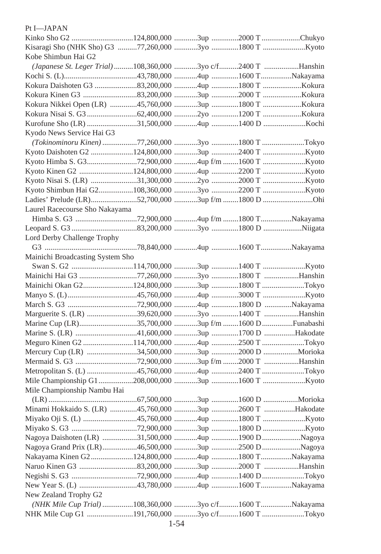| Pt I-JAPAN                                                   |  |  |
|--------------------------------------------------------------|--|--|
|                                                              |  |  |
|                                                              |  |  |
| Kobe Shimbun Hai G2                                          |  |  |
| (Japanese St. Leger Trial) 108,360,000 3yo c/f2400 T Hanshin |  |  |
|                                                              |  |  |
|                                                              |  |  |
|                                                              |  |  |
| Kokura Nikkei Open (LR) 45,760,000 3up 1800 T Kokura         |  |  |
|                                                              |  |  |
| Kurofune Sho (LR) 31,500,000 4up 1400 D Kochi                |  |  |
| Kyodo News Service Hai G3                                    |  |  |
| (Tokinominoru Kinen) 77,260,000 3yo 1800 T Tokyo             |  |  |
|                                                              |  |  |
|                                                              |  |  |
|                                                              |  |  |
|                                                              |  |  |
|                                                              |  |  |
|                                                              |  |  |
| Laurel Racecourse Sho Nakayama                               |  |  |
|                                                              |  |  |
|                                                              |  |  |
| Lord Derby Challenge Trophy                                  |  |  |
|                                                              |  |  |
| Mainichi Broadcasting System Sho                             |  |  |
|                                                              |  |  |
| Mainichi Hai G3 77,260,000 3yo 1800 T Hanshin                |  |  |
| Mainichi Okan G2124,800,000 3up 1800 T Tokyo                 |  |  |
|                                                              |  |  |
|                                                              |  |  |
| Marguerite S. (LR) 39,620,000 3yo 1400 T Hanshin             |  |  |
| Marine Cup (LR)35,700,000 3up f/m 1600 D Funabashi           |  |  |
|                                                              |  |  |
| Meguro Kinen G2 114,700,000 4up 2500 T Tokyo                 |  |  |
|                                                              |  |  |
|                                                              |  |  |
|                                                              |  |  |
|                                                              |  |  |
| Mile Championship Nambu Hai                                  |  |  |
|                                                              |  |  |
| Minami Hokkaido S. (LR) 45,760,000 3up 2600 T Hakodate       |  |  |
|                                                              |  |  |
|                                                              |  |  |
| Nagoya Daishoten (LR) 31,500,000 4up 1900 DNagoya            |  |  |
| Nagoya Grand Prix (LR)46,500,000 3up 2500 DNagoya            |  |  |
| Nakayama Kinen G2124,800,000 4up 1800 TNakayama              |  |  |
| Naruo Kinen G3 83,200,000 3up 2000 T Hanshin                 |  |  |
|                                                              |  |  |
|                                                              |  |  |
| New Zealand Trophy G2                                        |  |  |
| (NHK Mile Cup Trial) 108,360,000 3yo c/f1600 TNakayama       |  |  |
| NHK Mile Cup G1 191,760,000 3yo c/f1600 T Tokyo              |  |  |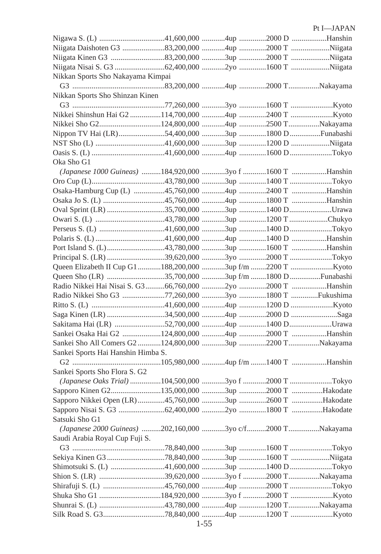|                                                            |  | Pt I-JAPAN |
|------------------------------------------------------------|--|------------|
|                                                            |  |            |
|                                                            |  |            |
|                                                            |  |            |
|                                                            |  |            |
| Nikkan Sports Sho Nakayama Kimpai                          |  |            |
|                                                            |  |            |
| Nikkan Sports Sho Shinzan Kinen                            |  |            |
|                                                            |  |            |
|                                                            |  |            |
| Nikkei Sho G2124,800,000 4up 2500 TNakayama                |  |            |
| Nippon TV Hai (LR)54,400,000 3up 1800 DFunabashi           |  |            |
|                                                            |  |            |
|                                                            |  |            |
| Oka Sho G1                                                 |  |            |
| (Japanese 1000 Guineas) 184,920,000 3yo f 1600 T Hanshin   |  |            |
|                                                            |  |            |
| Osaka-Hamburg Cup (L) 45,760,000 4up 2400 T Hanshin        |  |            |
|                                                            |  |            |
| Oval Sprint (LR) 35,700,000 3up 1400 DUrawa                |  |            |
|                                                            |  |            |
|                                                            |  |            |
|                                                            |  |            |
| Port Island S. (L)43,780,000 3up 1600 T Hanshin            |  |            |
|                                                            |  |            |
|                                                            |  |            |
| Queen Sho (LR) 35,700,000 3up f/m 1800 D Funabashi         |  |            |
| Radio Nikkei Hai Nisai S. G3 66,760,000 2yo 2000 T Hanshin |  |            |
| Radio Nikkei Sho G3 77,260,000 3yo 1800 T Fukushima        |  |            |
|                                                            |  |            |
|                                                            |  |            |
| Sakitama Hai (LR) 52,700,000 4up 1400 DUrawa               |  |            |
| Sankei Osaka Hai G2 124,800,000 4up 2000 T Hanshin         |  |            |
| Sankei Sho All Comers G2 124,800,000 3up 2200 TNakayama    |  |            |
| Sankei Sports Hai Hanshin Himba S.                         |  |            |
|                                                            |  |            |
| Sankei Sports Sho Flora S. G2                              |  |            |
|                                                            |  |            |
| Sapporo Kinen G2135,000,000 3up 2000 T Hakodate            |  |            |
| Sapporo Nikkei Open (LR) 45,760,000 3up 2600 T Hakodate    |  |            |
| Sapporo Nisai S. G3 62,400,000 2yo 1800 T Hakodate         |  |            |
| Satsuki Sho G1                                             |  |            |
| (Japanese 2000 Guineas) 202,160,000 3yo c/f2000 TNakayama  |  |            |
| Saudi Arabia Royal Cup Fuji S.                             |  |            |
|                                                            |  |            |
|                                                            |  |            |
| Shimotsuki S. (L) 41,600,000 3up 1400 DTokyo               |  |            |
|                                                            |  |            |
|                                                            |  |            |
|                                                            |  |            |
|                                                            |  |            |
|                                                            |  |            |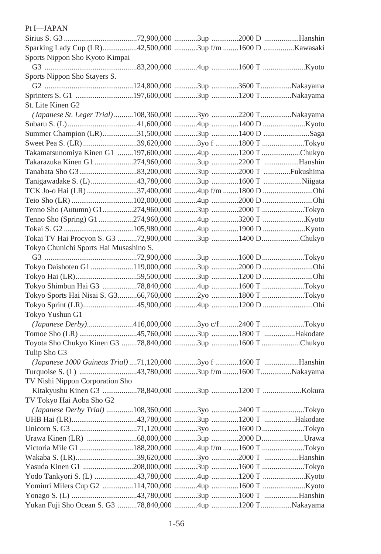| Pt I-JAPAN                                                    |  |  |
|---------------------------------------------------------------|--|--|
|                                                               |  |  |
| Sparking Lady Cup (LR)42,500,000 3up f/m 1600 D  Kawasaki     |  |  |
| Sports Nippon Sho Kyoto Kimpai                                |  |  |
|                                                               |  |  |
| Sports Nippon Sho Stayers S.                                  |  |  |
|                                                               |  |  |
|                                                               |  |  |
| St. Lite Kinen G2                                             |  |  |
| (Japanese St. Leger Trial) 108,360,000 3yo 2200 TNakayama     |  |  |
|                                                               |  |  |
| Summer Champion (LR)31,500,000 3up 1400 D Saga                |  |  |
|                                                               |  |  |
| Takamatsunomiya Kinen G1 197,600,000 4up 1200 T Chukyo        |  |  |
| Takarazuka Kinen G1 274,960,000 3up 2200 T Hanshin            |  |  |
|                                                               |  |  |
| Tanigawadake S. (L) 43,780,000 3up 1600 T Niigata             |  |  |
|                                                               |  |  |
|                                                               |  |  |
|                                                               |  |  |
|                                                               |  |  |
|                                                               |  |  |
| Tokai TV Hai Procyon S. G3 72,900,000 3up 1400 DChukyo        |  |  |
| Tokyo Chunichi Sports Hai Musashino S.                        |  |  |
|                                                               |  |  |
|                                                               |  |  |
| Tokyo Hai (LR)59,500,000 3up 1200 D Ohi                       |  |  |
| Tokyo Shimbun Hai G3 78,840,000 4up 1600 T Tokyo              |  |  |
| Tokyo Sports Hai Nisai S. G366,760,000 2yo 1800 T Tokyo       |  |  |
| Tokyo Sprint (LR)45,900,000 4up 1200 D Ohi                    |  |  |
| Tokyo Yushun G1                                               |  |  |
| (Japanese Derby)416,000,000 3yo c/f2400 T Tokyo               |  |  |
| Tomoe Sho (LR) 45,760,000 3up 1800 T Hakodate                 |  |  |
| Toyota Sho Chukyo Kinen G3 78,840,000 3up 1600 T Chukyo       |  |  |
| Tulip Sho G3                                                  |  |  |
| (Japanese 1000 Guineas Trial) 71,120,000 3yo f 1600 T Hanshin |  |  |
| Turquoise S. (L) 43,780,000 3up f/m 1600 TNakayama            |  |  |
| TV Nishi Nippon Corporation Sho                               |  |  |
| Kitakyushu Kinen G3 78,840,000 3up 1200 T Kokura              |  |  |
| TV Tokyo Hai Aoba Sho G2                                      |  |  |
| (Japanese Derby Trial) 108,360,000 3yo 2400 T Tokyo           |  |  |
|                                                               |  |  |
|                                                               |  |  |
|                                                               |  |  |
| Victoria Mile G1 188,200,000 4up f/m 1600 T Tokyo             |  |  |
|                                                               |  |  |
| Yasuda Kinen G1 208,000,000 3up 1600 T Tokyo                  |  |  |
|                                                               |  |  |
|                                                               |  |  |
|                                                               |  |  |
| Yukan Fuji Sho Ocean S. G3 78,840,000 4up 1200 TNakayama      |  |  |
|                                                               |  |  |